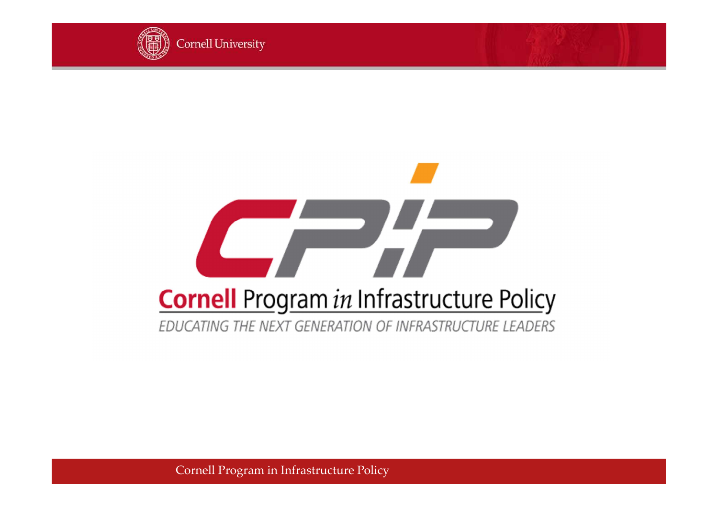

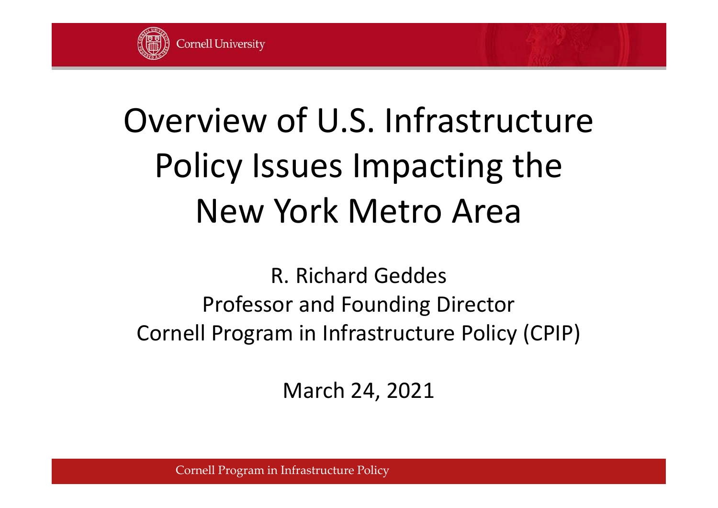

# Overview of U.S. Infrastructure Policy Issues Impacting the New York Metro Area

R. Richard Geddes Professor and Founding Director Cornell Program in Infrastructure Policy (CPIP)

March 24, 2021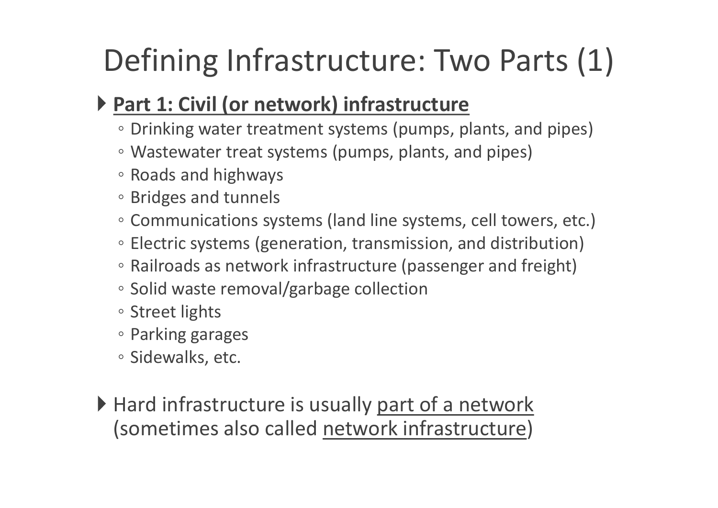## Defining Infrastructure: Two Parts (1)

#### **Part 1: Civil (or network) infrastructure**

- Drinking water treatment systems (pumps, plants, and pipes)
- Wastewater treat systems (pumps, plants, and pipes)
- Roads and highways
- Bridges and tunnels
- Communications systems (land line systems, cell towers, etc.)
- Electric systems (generation, transmission, and distribution)
- Railroads as network infrastructure (passenger and freight)
- Solid waste removal/garbage collection
- Street lights
- Parking garages
- Sidewalks, etc.
- Hard infrastructure is usually part of a network (sometimes also called network infrastructure)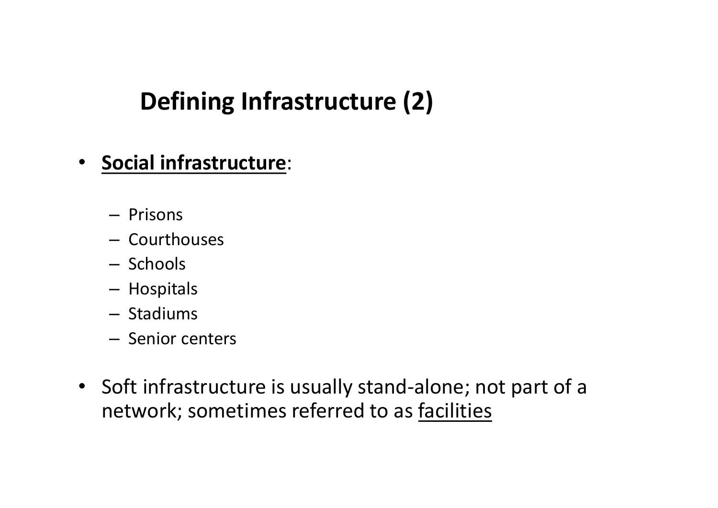### **Defining Infrastructure (2)**

- **Social infrastructure**:
	- Prisons
	- Courthouses
	- Schools
	- Hospitals
	- Stadiums
	- Senior centers
- Soft infrastructure is usually stand-alone; not part of a network; sometimes referred to as facilities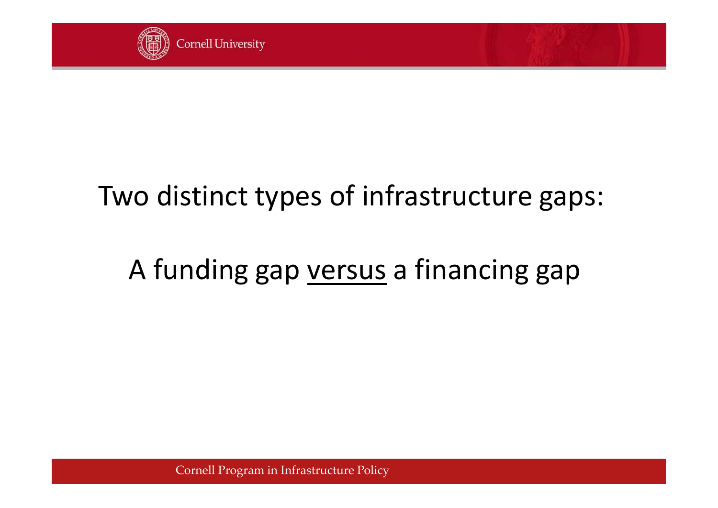

## Two distinct types of infrastructure gaps:

## A funding gap versus a financing gap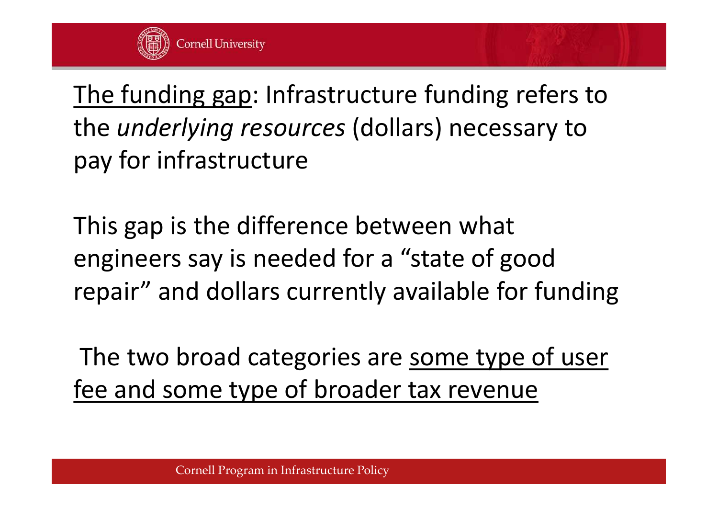

The funding gap: Infrastructure funding refers to the *underlying resources* (dollars) necessary to pay for infrastructure

This gap is the difference between what engineers say is needed for a "state of good repair" and dollars currently available for funding

The two broad categories are some type of user fee and some type of broader tax revenue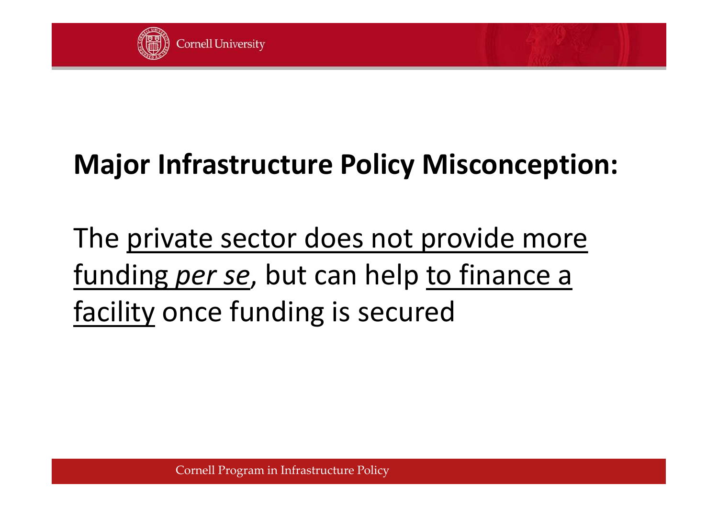

## **Major Infrastructure Policy Misconception:**

The private sector does not provide more funding *per se*, but can help to finance a facility once funding is secured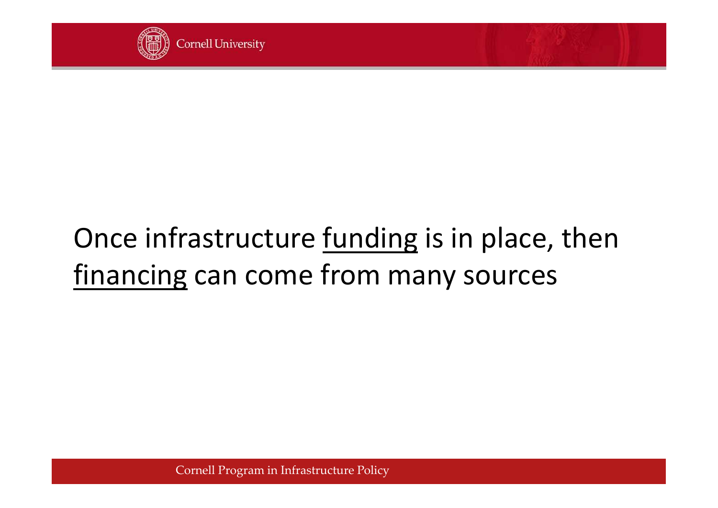

## Once infrastructure <u>funding</u> is in place, then financing can come from many sources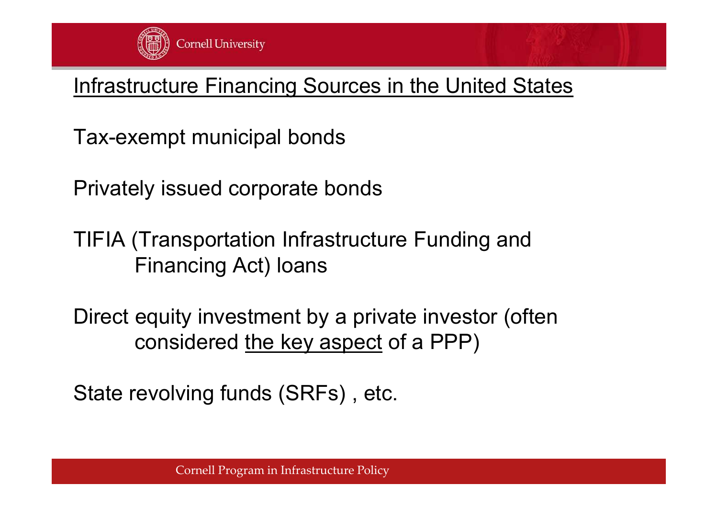

#### Infrastructure Financing Sources in the United States

Tax-exempt municipal bonds

Privately issued corporate bonds

TIFIA (Transportation Infrastructure Funding and Financing Act) loans

Direct equity investment by a private investor (often considered the key aspect of a PPP)

State revolving funds (SRFs) , etc.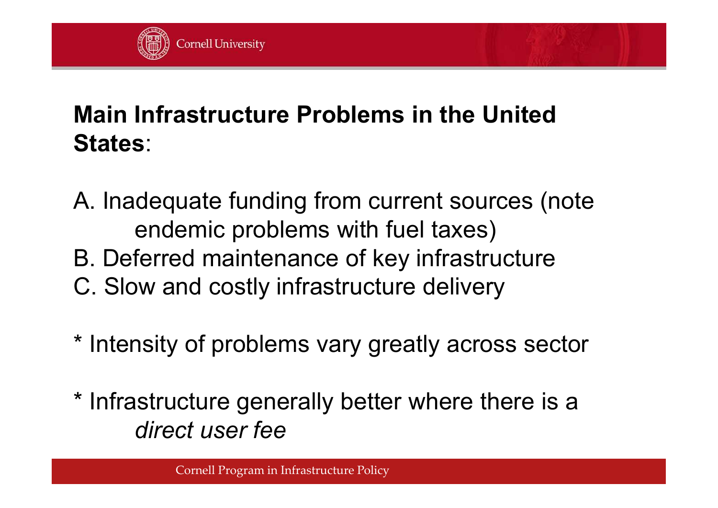

#### **Main Infrastructure Problems in the United States**:

- A. Inadequate funding from current sources (note endemic problems with fuel taxes)
- B. Deferred maintenance of key infrastructure
- C. Slow and costly infrastructure delivery
- \* Intensity of problems vary greatly across sector
- \* Infrastructure generally better where there is a *direct user fee*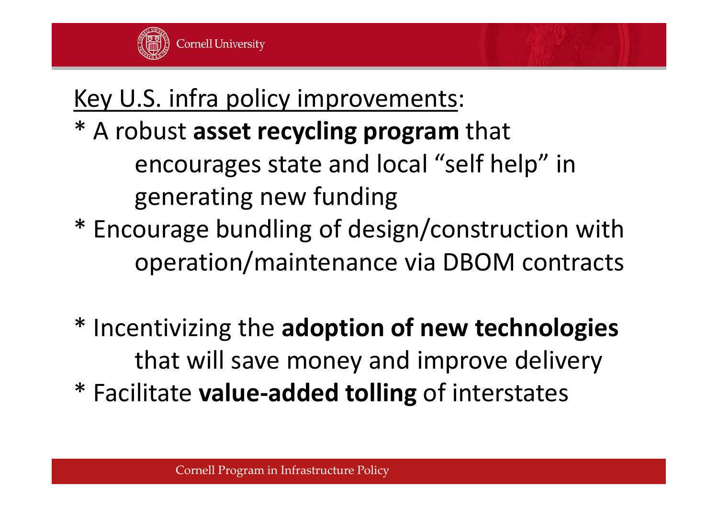

### Key U.S. infra policy improvements: \* A robust **asset recycling program** that encourages state and local "self help" in generating new funding \* Encourage bundling of design/construction with operation/maintenance via DBOM contracts

\* Incentivizing the **adoption of new technologies** that will save money and improve delivery \* Facilitate **value-added tolling** of interstates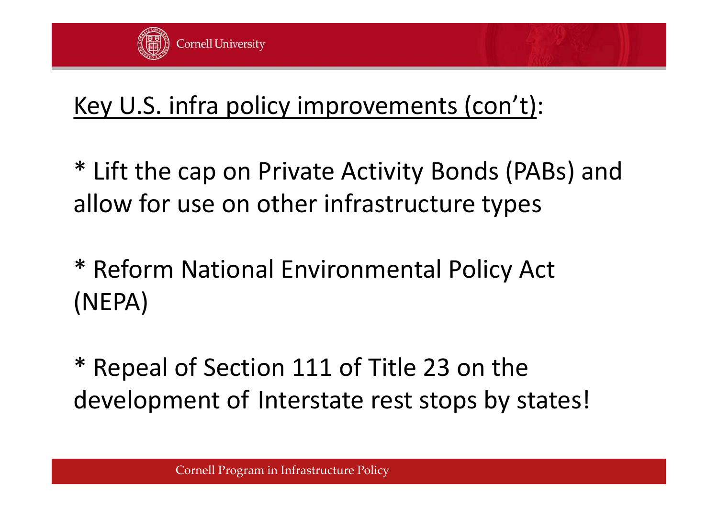

### Key U.S. infra policy improvements (con't):

\* Lift the cap on Private Activity Bonds (PABs) and allow for use on other infrastructure types

- \* Reform National Environmental Policy Act (NEPA)
- Repeal of Section 111 of Title 23 on the development of Interstate rest stops by states!